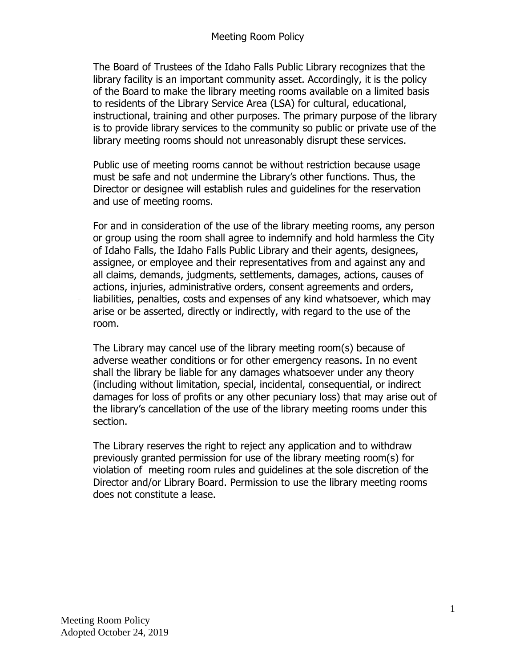The Board of Trustees of the Idaho Falls Public Library recognizes that the library facility is an important community asset. Accordingly, it is the policy of the Board to make the library meeting rooms available on a limited basis to residents of the Library Service Area (LSA) for cultural, educational, instructional, training and other purposes. The primary purpose of the library is to provide library services to the community so public or private use of the library meeting rooms should not unreasonably disrupt these services.

Public use of meeting rooms cannot be without restriction because usage must be safe and not undermine the Library's other functions. Thus, the Director or designee will establish rules and guidelines for the reservation and use of meeting rooms.

For and in consideration of the use of the library meeting rooms, any person or group using the room shall agree to indemnify and hold harmless the City of Idaho Falls, the Idaho Falls Public Library and their agents, designees, assignee, or employee and their representatives from and against any and all claims, demands, judgments, settlements, damages, actions, causes of actions, injuries, administrative orders, consent agreements and orders, liabilities, penalties, costs and expenses of any kind whatsoever, which may arise or be asserted, directly or indirectly, with regard to the use of the room.

The Library may cancel use of the library meeting room(s) because of adverse weather conditions or for other emergency reasons. In no event shall the library be liable for any damages whatsoever under any theory (including without limitation, special, incidental, consequential, or indirect damages for loss of profits or any other pecuniary loss) that may arise out of the library's cancellation of the use of the library meeting rooms under this section.

The Library reserves the right to reject any application and to withdraw previously granted permission for use of the library meeting room(s) for violation of meeting room rules and guidelines at the sole discretion of the Director and/or Library Board. Permission to use the library meeting rooms does not constitute a lease.

 $\frac{1}{2}$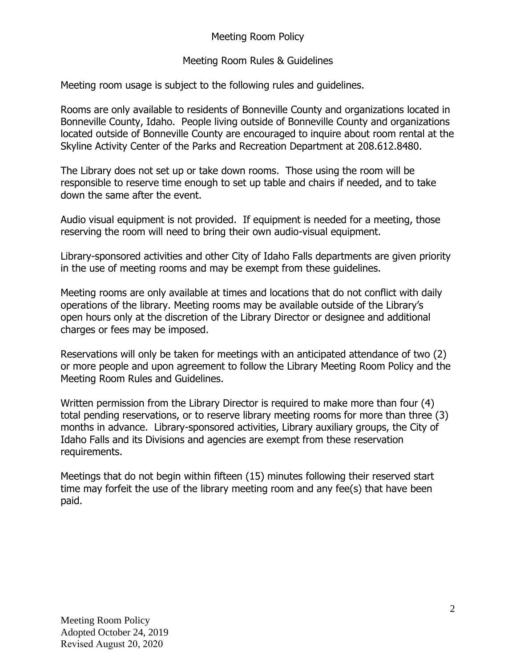## Meeting Room Policy

## Meeting Room Rules & Guidelines

Meeting room usage is subject to the following rules and guidelines.

Rooms are only available to residents of Bonneville County and organizations located in Bonneville County, Idaho. People living outside of Bonneville County and organizations located outside of Bonneville County are encouraged to inquire about room rental at the Skyline Activity Center of the Parks and Recreation Department at 208.612.8480.

The Library does not set up or take down rooms. Those using the room will be responsible to reserve time enough to set up table and chairs if needed, and to take down the same after the event.

Audio visual equipment is not provided. If equipment is needed for a meeting, those reserving the room will need to bring their own audio-visual equipment.

Library-sponsored activities and other City of Idaho Falls departments are given priority in the use of meeting rooms and may be exempt from these guidelines.

Meeting rooms are only available at times and locations that do not conflict with daily operations of the library. Meeting rooms may be available outside of the Library's open hours only at the discretion of the Library Director or designee and additional charges or fees may be imposed.

Reservations will only be taken for meetings with an anticipated attendance of two (2) or more people and upon agreement to follow the Library Meeting Room Policy and the Meeting Room Rules and Guidelines.

Written permission from the Library Director is required to make more than four (4) total pending reservations, or to reserve library meeting rooms for more than three (3) months in advance. Library-sponsored activities, Library auxiliary groups, the City of Idaho Falls and its Divisions and agencies are exempt from these reservation requirements.

Meetings that do not begin within fifteen (15) minutes following their reserved start time may forfeit the use of the library meeting room and any fee(s) that have been paid.